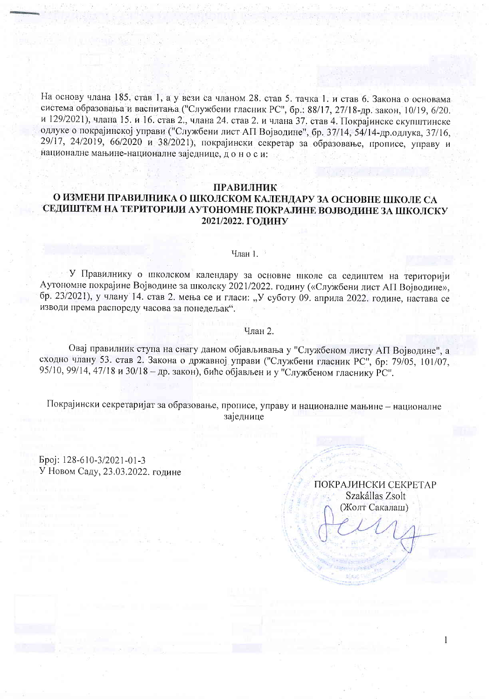На основу члана 185. став 1, а у вези са чланом 28. став 5. тачка 1. и став 6. Закона о основама система образовања и васпитања ("Службени гласник РС", бр.: 88/17, 27/18-др. закон, 10/19, 6/20. и 129/2021), члана 15. и 16. став 2., члана 24. став 2. и члана 37. став 4. Покрајинске скупштинске одлуке о покрајинској управи ("Службени лист АП Војводине", бр. 37/14, 54/14-др. одлука, 37/16, 29/17, 24/2019, 66/2020 и 38/2021), покрајински секретар за образовање, прописе, управу и националне мањине-националне заједнице, доноси:

## **ПРАВИЛНИК**

## О ИЗМЕНИ ПРАВИЛНИКА О ШКОЛСКОМ КАЛЕНДАРУ ЗА ОСНОВНЕ ШКОЛЕ СА СЕДИШТЕМ НА ТЕРИТОРИЈИ АУТОНОМНЕ ПОКРАЈИНЕ ВОЈВОДИНЕ ЗА ШКОЛСКУ 2021/2022. ГОДИНУ

## Члан 1.

У Правилнику о школском календару за основне школе са седиштем на територији Аутономне покрајине Војводине за школску 2021/2022. годину («Службени лист АП Војводине», бр. 23/2021), у члану 14. став 2. мења се и гласи: "У суботу 09. априла 2022. године, настава се изводи према распореду часова за понедељак".

## Члан 2.

Овај правилник ступа на снагу даном објављивања у "Службеном листу АП Војводине", а сходно члану 53. став 2. Закона о државној управи ("Службени гласник РС", бр: 79/05, 101/07, 95/10, 99/14, 47/18 и 30/18 - др. закон), биће објављен и у "Службеном гласнику РС".

Покрајински секретаријат за образовање, прописе, управу и националне мањине - националне заједнице

Epoj: 128-610-3/2021-01-3 У Новом Саду, 23.03.2022. године

> ПОКРАЈИНСКИ СЕКРЕТАР Szakállas Zsolt (Жолт Сакалаш)

> > 1